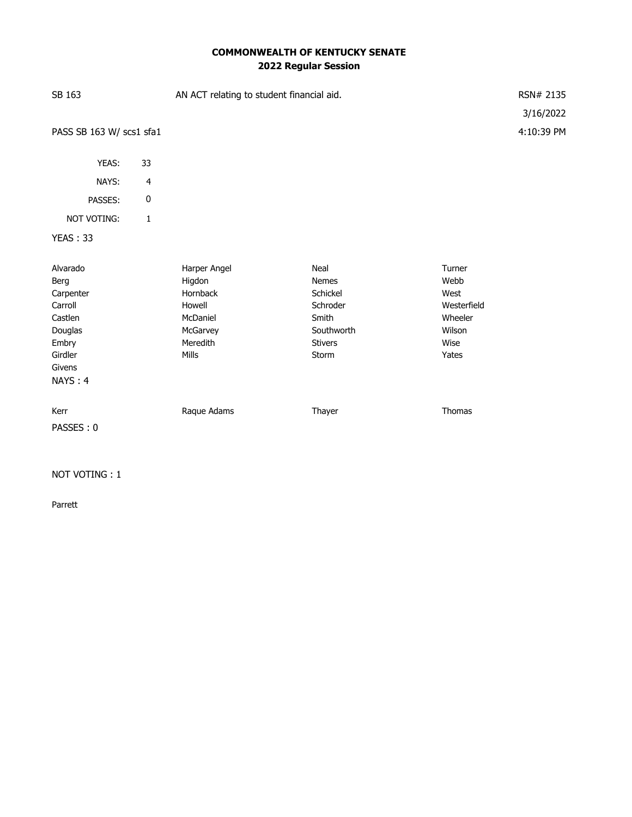# **COMMONWEALTH OF KENTUCKY SENATE 2022 Regular Session**

| SB 163                                                                                                  |                         | AN ACT relating to student financial aid.                                                 |                                                                                         |                                                                             | RSN# 2135<br>3/16/2022 |
|---------------------------------------------------------------------------------------------------------|-------------------------|-------------------------------------------------------------------------------------------|-----------------------------------------------------------------------------------------|-----------------------------------------------------------------------------|------------------------|
| PASS SB 163 W/ scs1 sfa1                                                                                |                         |                                                                                           |                                                                                         |                                                                             | 4:10:39 PM             |
| YEAS:                                                                                                   | 33                      |                                                                                           |                                                                                         |                                                                             |                        |
| NAYS:                                                                                                   | $\overline{\mathbf{4}}$ |                                                                                           |                                                                                         |                                                                             |                        |
| PASSES:                                                                                                 | $\pmb{0}$               |                                                                                           |                                                                                         |                                                                             |                        |
| NOT VOTING:                                                                                             | 1                       |                                                                                           |                                                                                         |                                                                             |                        |
| <b>YEAS: 33</b>                                                                                         |                         |                                                                                           |                                                                                         |                                                                             |                        |
| Alvarado<br>Berg<br>Carpenter<br>Carroll<br>Castlen<br>Douglas<br>Embry<br>Girdler<br>Givens<br>NAYS: 4 |                         | Harper Angel<br>Higdon<br>Hornback<br>Howell<br>McDaniel<br>McGarvey<br>Meredith<br>Mills | Neal<br>Nemes<br>Schickel<br>Schroder<br>Smith<br>Southworth<br><b>Stivers</b><br>Storm | Turner<br>Webb<br>West<br>Westerfield<br>Wheeler<br>Wilson<br>Wise<br>Yates |                        |
| Kerr<br>PASSES: 0                                                                                       |                         | Raque Adams                                                                               | Thayer                                                                                  | Thomas                                                                      |                        |

### NOT VOTING : 1

Parrett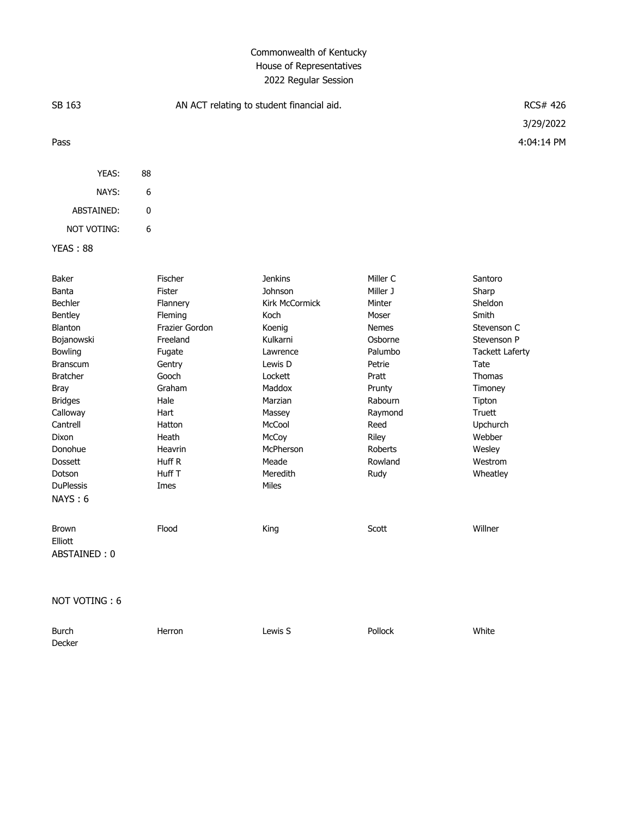# Commonwealth of Kentucky House of Representatives 2022 Regular Session

| SB 163                                                                                                                                                                                                                                                        |                                                                                                                                                                                         | AN ACT relating to student financial aid.                                                                                                                                                                |                                                                                                                                                                                        |                                                                                                                                                                                                             |  |
|---------------------------------------------------------------------------------------------------------------------------------------------------------------------------------------------------------------------------------------------------------------|-----------------------------------------------------------------------------------------------------------------------------------------------------------------------------------------|----------------------------------------------------------------------------------------------------------------------------------------------------------------------------------------------------------|----------------------------------------------------------------------------------------------------------------------------------------------------------------------------------------|-------------------------------------------------------------------------------------------------------------------------------------------------------------------------------------------------------------|--|
| Pass                                                                                                                                                                                                                                                          |                                                                                                                                                                                         |                                                                                                                                                                                                          |                                                                                                                                                                                        | 3/29/2022<br>4:04:14 PM                                                                                                                                                                                     |  |
| YEAS:                                                                                                                                                                                                                                                         | 88                                                                                                                                                                                      |                                                                                                                                                                                                          |                                                                                                                                                                                        |                                                                                                                                                                                                             |  |
| NAYS:                                                                                                                                                                                                                                                         | 6                                                                                                                                                                                       |                                                                                                                                                                                                          |                                                                                                                                                                                        |                                                                                                                                                                                                             |  |
| ABSTAINED:                                                                                                                                                                                                                                                    | 0                                                                                                                                                                                       |                                                                                                                                                                                                          |                                                                                                                                                                                        |                                                                                                                                                                                                             |  |
| <b>NOT VOTING:</b>                                                                                                                                                                                                                                            | 6                                                                                                                                                                                       |                                                                                                                                                                                                          |                                                                                                                                                                                        |                                                                                                                                                                                                             |  |
| <b>YEAS: 88</b>                                                                                                                                                                                                                                               |                                                                                                                                                                                         |                                                                                                                                                                                                          |                                                                                                                                                                                        |                                                                                                                                                                                                             |  |
| Baker<br>Banta<br>Bechler<br>Bentley<br><b>Blanton</b><br>Bojanowski<br>Bowling<br><b>Branscum</b><br><b>Bratcher</b><br>Bray<br><b>Bridges</b><br>Calloway<br>Cantrell<br><b>Dixon</b><br>Donohue<br><b>Dossett</b><br>Dotson<br><b>DuPlessis</b><br>NAYS: 6 | Fischer<br>Fister<br>Flannery<br>Fleming<br>Frazier Gordon<br>Freeland<br>Fugate<br>Gentry<br>Gooch<br>Graham<br>Hale<br>Hart<br>Hatton<br>Heath<br>Heavrin<br>Huff R<br>Huff T<br>Imes | <b>Jenkins</b><br>Johnson<br>Kirk McCormick<br>Koch<br>Koenig<br>Kulkarni<br>Lawrence<br>Lewis D<br>Lockett<br>Maddox<br>Marzian<br>Massey<br>McCool<br>McCoy<br>McPherson<br>Meade<br>Meredith<br>Miles | Miller C<br>Miller J<br>Minter<br>Moser<br><b>Nemes</b><br>Osborne<br>Palumbo<br>Petrie<br>Pratt<br>Prunty<br>Rabourn<br>Raymond<br>Reed<br>Riley<br><b>Roberts</b><br>Rowland<br>Rudy | Santoro<br>Sharp<br>Sheldon<br>Smith<br>Stevenson C<br>Stevenson P<br><b>Tackett Laferty</b><br>Tate<br><b>Thomas</b><br>Timoney<br>Tipton<br>Truett<br>Upchurch<br>Webber<br>Wesley<br>Westrom<br>Wheatley |  |
| <b>Brown</b><br>Elliott<br>ABSTAINED: 0                                                                                                                                                                                                                       | Flood                                                                                                                                                                                   | King                                                                                                                                                                                                     | Scott                                                                                                                                                                                  | Willner                                                                                                                                                                                                     |  |

NOT VOTING : 6

| Burch  | Herron | Lewis S | Pollock | White |
|--------|--------|---------|---------|-------|
| Decker |        |         |         |       |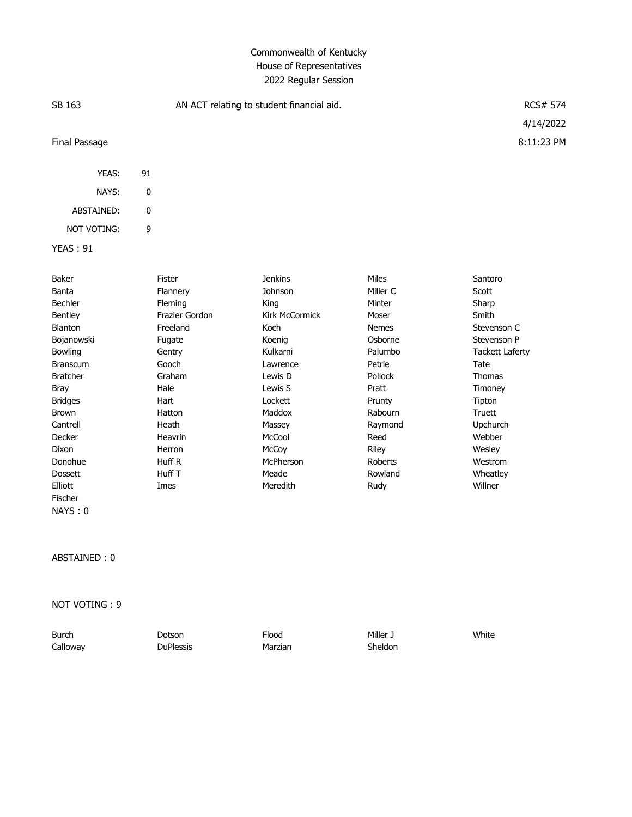### Commonwealth of Kentucky House of Representatives 2022 Regular Session

| SB 163          | AN ACT relating to student financial aid. | <b>RCS# 574</b> |              |                        |
|-----------------|-------------------------------------------|-----------------|--------------|------------------------|
|                 |                                           |                 |              | 4/14/2022              |
| Final Passage   |                                           |                 |              | 8:11:23 PM             |
| YEAS:           | 91                                        |                 |              |                        |
| NAYS:           | 0                                         |                 |              |                        |
| ABSTAINED:      | 0                                         |                 |              |                        |
| NOT VOTING:     | 9                                         |                 |              |                        |
| <b>YEAS: 91</b> |                                           |                 |              |                        |
| Baker           | Fister                                    | <b>Jenkins</b>  | Miles        | Santoro                |
| Banta           | Flannery                                  | Johnson         | Miller C     | Scott                  |
| Bechler         | Fleming                                   | King            | Minter       | Sharp                  |
| Bentley         | Frazier Gordon                            | Kirk McCormick  | Moser        | Smith                  |
| Blanton         | Freeland                                  | Koch            | <b>Nemes</b> | Stevenson C            |
| Bojanowski      | Fugate                                    | Koenig          | Osborne      | Stevenson P            |
| Bowling         | Gentry                                    | Kulkarni        | Palumbo      | <b>Tackett Laferty</b> |
| <b>Branscum</b> | Gooch                                     | Lawrence        | Petrie       | Tate                   |
| <b>Bratcher</b> | Graham                                    | Lewis D         | Pollock      | <b>Thomas</b>          |
| Bray            | Hale                                      | Lewis S         | Pratt        | Timoney                |

#### ABSTAINED : 0

Fischer NAYS : 0

NOT VOTING : 9

| <b>Burch</b> | Dotson           | Flood   | د Miller | White |
|--------------|------------------|---------|----------|-------|
| Calloway     | <b>DuPlessis</b> | Marzian | Sheldon  |       |

Bridges Hart Lockett Prunty Tipton Brown Hatton Maddox Rabourn Truett Cantrell Heath Massey Raymond Upchurch Decker Heavrin McCool Reed Webber Dixon Herron McCoy Riley Wesley Donohue Huff R McPherson Roberts Westrom Dossett Huff T Meade Rowland Wheatley Elliott Imes Meredith Rudy Willner